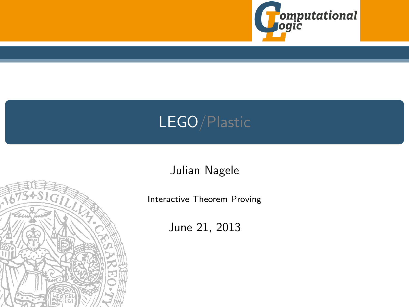

## LEGO/Plastic

Julian Nagele

Interactive Theorem Proving

June 21, 2013

<span id="page-0-1"></span><span id="page-0-0"></span>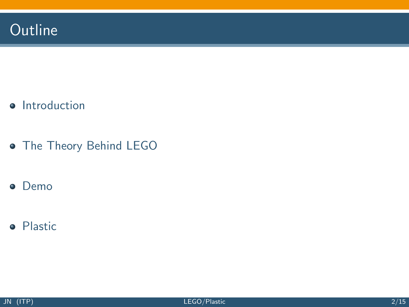- [Introduction](#page-3-0)
- **[The Theory Behind LEGO](#page-7-0)**
- **•** [Demo](#page-0-0)
- **•** [Plastic](#page-0-0)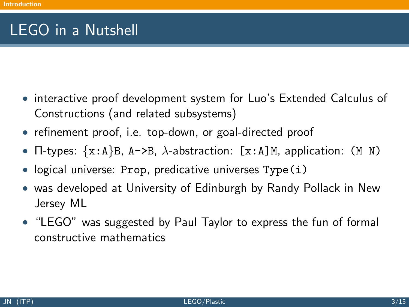## LEGO in a Nutshell

- interactive proof development system for Luo's Extended Calculus of Constructions (and related subsystems)
- refinement proof, i.e. top-down, or goal-directed proof
- $\Pi$ -types: {x:A}B, A->B,  $\lambda$ -abstraction: [x:A]M, application: (M N)
- logical universe: Prop, predicative universes Type(i)
- was developed at University of Edinburgh by Randy Pollack in New Jersey ML
- <span id="page-2-0"></span>• "LEGO" was suggested by Paul Taylor to express the fun of formal constructive mathematics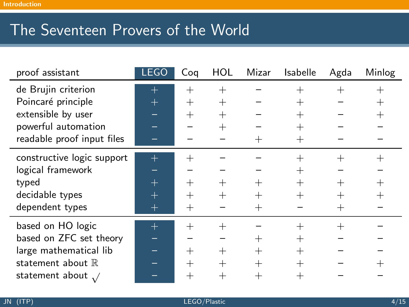## The Seventeen Provers of the World

<span id="page-3-0"></span>

| proof assistant             | <b>LEGO</b> | Coq    | <b>HOL</b> | Mizar   | Isabelle           | Agda   | Minlog             |
|-----------------------------|-------------|--------|------------|---------|--------------------|--------|--------------------|
| de Brujin criterion         | $\pm$       | $^{+}$ | $\pm$      |         | $^+$               | $^+$   | $^+$               |
| Poincaré principle          | $\pm$       | $^{+}$ | $^{+}$     |         | $^+$               |        | $\hspace{0.1mm} +$ |
| extensible by user          |             | $^{+}$ | $\,+\,$    |         | $^+$               |        | $^+$               |
| powerful automation         |             |        | $^{+}$     |         | $^{+}$             |        |                    |
| readable proof input files  |             |        |            |         | $\, +$             |        |                    |
| constructive logic support  | $^{+}$      | $^{+}$ |            |         | $\hspace{0.1mm} +$ | $^{+}$ | $^+$               |
| logical framework           |             |        |            |         | $^{+}$             |        |                    |
| typed                       | $^+$        | $^{+}$ | $^{+}$     | $\pm$   | $^{+}$             |        | $^{+}$             |
| decidable types             | $\pm$       | $^{+}$ | $^+$       | $\,+\,$ | $^{+}$             | $^+$   | $^+$               |
| dependent types             | $^+$        | $^{+}$ |            | $^{+}$  |                    | $\pm$  |                    |
| based on HO logic           | $\pm$       | $^{+}$ | $^+$       |         | $\, +$             | $^+$   |                    |
| based on ZFC set theory     |             |        |            | $\pm$   | $^+$               |        |                    |
| large mathematical lib      |             | $^{+}$ | $^{+}$     | $^{+}$  | $^{+}$             |        |                    |
| statement about $\mathbb R$ |             | $^{+}$ | $\pm$      | $^{+}$  | $^+$               |        |                    |
| statement about $\sqrt{}$   |             | $^{+}$ | $^+$       | $\,+\,$ | $^+$               |        |                    |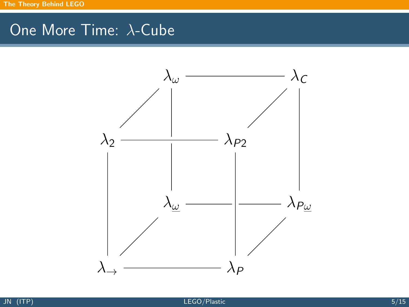## One More Time: λ-Cube

<span id="page-4-0"></span>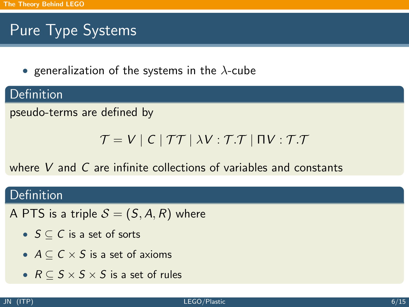## Pure Type Systems

• generalization of the systems in the  $\lambda$ -cube

#### **Definition**

pseudo-terms are defined by

$$
\mathcal{T} = V \mid C \mid \mathcal{T}\mathcal{T} \mid \lambda V : \mathcal{T}.\mathcal{T} \mid \Pi V : \mathcal{T}.\mathcal{T}
$$

where V and C are infinite collections of variables and constants

#### Definition

- A PTS is a triple  $S = (S, A, R)$  where
	- $S \subseteq C$  is a set of sorts
	- $A \subseteq C \times S$  is a set of axioms
	- $R \subseteq S \times S \times S$  is a set of rules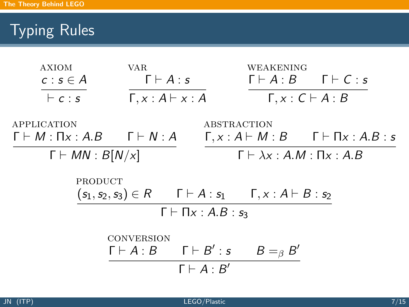# Typing Rules

| <b>AXIOM</b>                                               | <b>VAR</b>                                                                     |                                   | WEAKENING                                     |                                                              |  |  |
|------------------------------------------------------------|--------------------------------------------------------------------------------|-----------------------------------|-----------------------------------------------|--------------------------------------------------------------|--|--|
| $c : s \in A$                                              | $\Gamma \vdash A : s$                                                          |                                   |                                               | $\Gamma \vdash A:B \quad \Gamma \vdash C:s$                  |  |  |
| $\vdash c : s$                                             | $\Gamma, x : A \vdash x : A$                                                   |                                   |                                               | $\Gamma, x : C \vdash A : B$                                 |  |  |
| APPLICATION                                                |                                                                                | ABSTRACTION                       |                                               |                                                              |  |  |
| $\Gamma \vdash M : \Pi_X : A.B \qquad \Gamma \vdash N : A$ |                                                                                |                                   |                                               | $\Gamma, x : A \vdash M : B$ $\Gamma \vdash \Pi x : A.B : s$ |  |  |
| $\Gamma \vdash MN : B[N/x]$                                |                                                                                |                                   | $\Gamma \vdash \lambda x : A.M : \Pi x : A.B$ |                                                              |  |  |
| PRODUCT                                                    |                                                                                |                                   |                                               |                                                              |  |  |
|                                                            | $(s_1, s_2, s_3) \in R$ $\Gamma \vdash A : s_1$ $\Gamma, x : A \vdash B : s_2$ |                                   |                                               |                                                              |  |  |
|                                                            |                                                                                | $\Gamma \vdash \Pi x : A.B : s_3$ |                                               |                                                              |  |  |
|                                                            | <b>CONVERSION</b>                                                              |                                   |                                               |                                                              |  |  |
|                                                            | $\Gamma \vdash A : B$ $\Gamma \vdash B' : s$                                   |                                   | $B =_{\beta} B'$                              |                                                              |  |  |
|                                                            |                                                                                | $\Gamma \vdash A : B'$            |                                               |                                                              |  |  |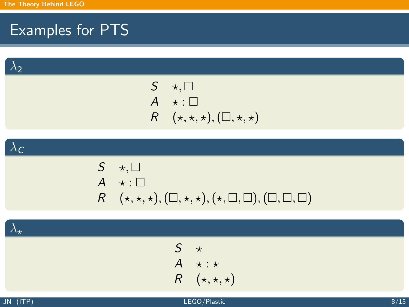## Examples for PTS

 $\lambda_2$ 

$$
S \quad \star, \Box
$$
  
\n
$$
A \quad \star : \Box
$$
  
\n
$$
R \quad (\star, \star, \star), (\Box, \star, \star)
$$

 $\lambda_c$ 

$$
S \quad \star, \Box
$$
  
\n
$$
A \quad \star : \Box
$$
  
\n
$$
R \quad (\star, \star, \star), (\Box, \star, \star), (\star, \Box, \Box), (\Box, \Box, \Box)
$$

 $\lambda_\star$ 

<span id="page-7-0"></span>S ? A ? : ? R (?, ?, ?)

$$
JN (ITP)
$$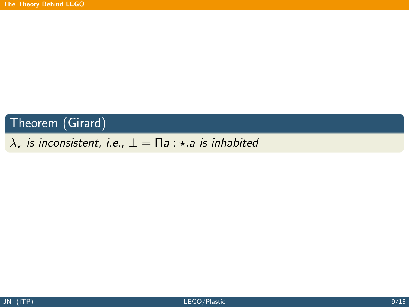#### Theorem (Girard)

#### $\lambda_{\star}$  is inconsistent, i.e.,  $\bot = \Pi a : \star a$  is inhabited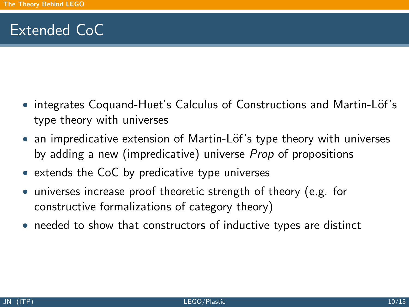## Extended CoC

- integrates Coquand-Huet's Calculus of Constructions and Martin-Löf's type theory with universes
- an impredicative extension of Martin-Löf's type theory with universes by adding a new (impredicative) universe *Prop* of propositions
- extends the CoC by predicative type universes
- universes increase proof theoretic strength of theory (e.g. for constructive formalizations of category theory)
- needed to show that constructors of inductive types are distinct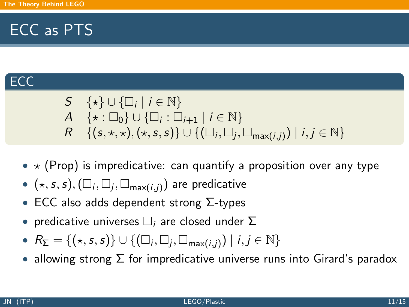## ECC as PTS

#### ECC

$$
S \{\star\} \cup \{\Box_i \mid i \in \mathbb{N}\}
$$
  
\n
$$
A \{\star : \Box_0\} \cup \{\Box_i : \Box_{i+1} \mid i \in \mathbb{N}\}
$$
  
\n
$$
R \{\{s, \star, \star\}, (\star, s, s)\} \cup \{(\Box_i, \Box_j, \Box_{\text{max}(i,j)}) \mid i, j \in \mathbb{N}\}
$$

- $\star$  (Prop) is impredicative: can quantify a proposition over any type
- $\bullet \hspace{0.1cm} (\star, s, s), (\Box_{i}, \Box_{j}, \Box_{\mathsf{max}(i, j)})$  are predicative
- ECC also adds dependent strong  $\Sigma$ -types
- predicative universes  $\Box_i$  are closed under  $\Sigma$
- $R_{\Sigma} = \{(*, s, s)\} \cup \{(\Box_i, \Box_j, \Box_{\text{max}(i,j)}) \mid i, j \in \mathbb{N}\}\$
- allowing strong  $\Sigma$  for impredicative universe runs into Girard's paradox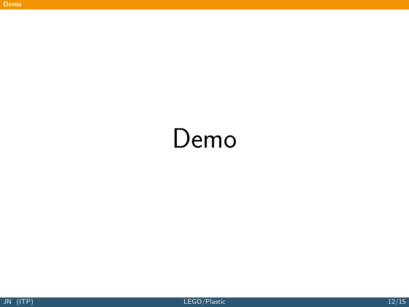# <span id="page-11-0"></span>Demo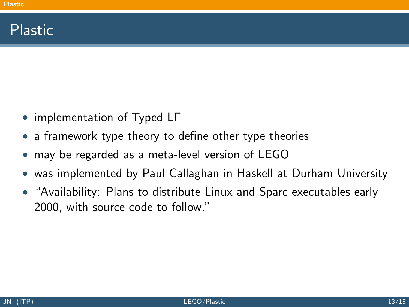## Plastic

- implementation of Typed LF
- a framework type theory to define other type theories
- may be regarded as a meta-level version of LEGO
- was implemented by Paul Callaghan in Haskell at Durham University
- <span id="page-12-0"></span>• "Availability: Plans to distribute Linux and Sparc executables early 2000, with source code to follow."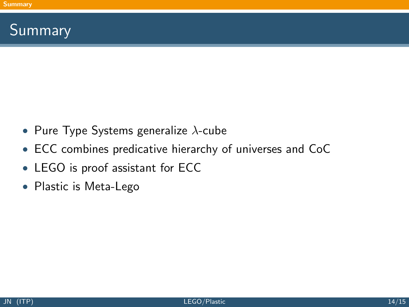## Summary

- Pure Type Systems generalize  $\lambda$ -cube
- ECC combines predicative hierarchy of universes and CoC
- LEGO is proof assistant for ECC
- <span id="page-13-0"></span>• Plastic is Meta-Lego